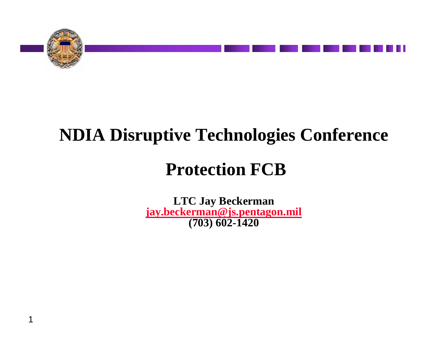

# **NDIA Disruptive Technologies Conference**

# **Protection FCB**

**LTC Jay Beckerman [jay.beckerman@js.pentagon.mil](mailto:jay.beckerman@js.pentagon.mil) (703) 602-1420**

1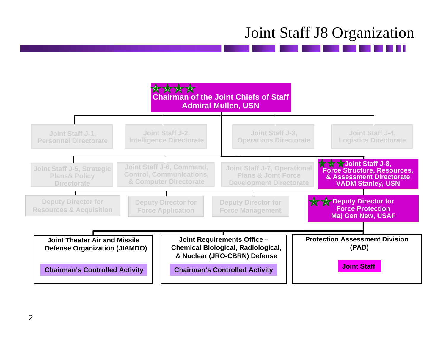## Joint Staff J8 Organization

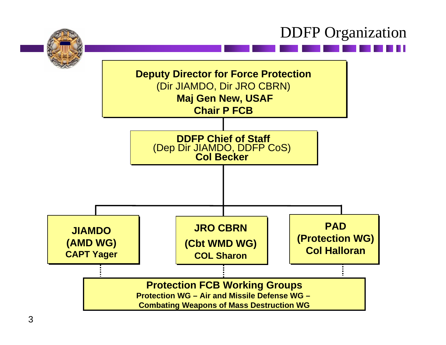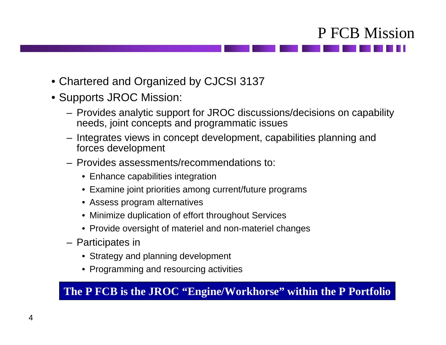

- Chartered and Organized by CJCSI 3137
- Supports JROC Mission:
	- Provides analytic support for JROC discussions/decisions on capability needs, joint concepts and programmatic issues
	- Integrates views in concept development, capabilities planning and forces development
	- Provides assessments/recommendations to:
		- Enhance capabilities integration
		- Examine joint priorities among current/future programs
		- Assess program alternatives
		- Minimize duplication of effort throughout Services
		- Provide oversight of materiel and non-materiel changes
	- Participates in
		- Strategy and planning development
		- Programming and resourcing activities

#### **The P FCB is the JROC "Engine/Workhorse" within the P Portfolio**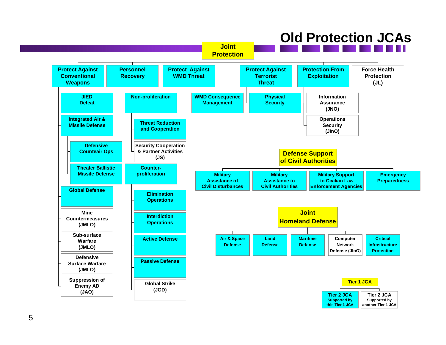### **Old Protection JCAs**

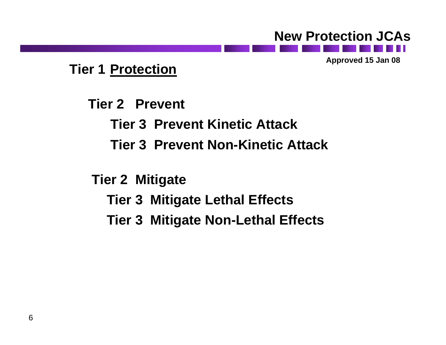#### **New Protection JCAs**

**Approved 15 Jan 08**

#### **Tier 1 Protection**

**Tier 2 Prevent**

**Tier 3 Prevent Kinetic Attack**

- **Tier 3 Prevent Non-Kinetic Attack**
- **Tier 2 Mitigate**
	- **Tier 3 Mitigate Lethal Effects**
	- **Tier 3 Mitigate Non-Lethal Effects**